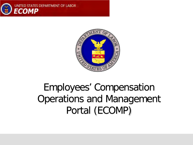



### Employees' Compensation Operations and Management Portal (ECOMP)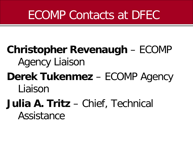### ECOMP Contacts at DFEC

### **Christopher Revenaugh** – ECOMP Agency Liaison

**Derek Tukenmez** – ECOMP Agency Liaison

### **Julia A. Tritz** – Chief, Technical Assistance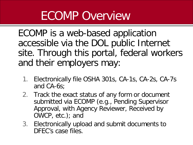### ECOMP Overview

ECOMP is a web-based application accessible via the DOL public Internet site. Through this portal, federal workers and their employers may:

- 1. Electronically file OSHA 301s, CA-1s, CA-2s, CA-7s and CA-6s;
- 2. Track the exact status of any form or document submitted via ECOMP (e.g., Pending Supervisor Approval, with Agency Reviewer, Received by OWCP, etc.); and
- 3. Electronically upload and submit documents to DFEC's case files.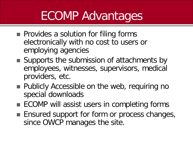### ECOMP Advantages

- **Provides a solution for filing forms** electronically with no cost to users or employing agencies
- Supports the submission of attachments by employees, witnesses, supervisors, medical providers, etc.
- **Publicly Accessible on the web, requiring no** special downloads
- **ECOMP** will assist users in completing forms
- **Ensured support for form or process changes,** since OWCP manages the site.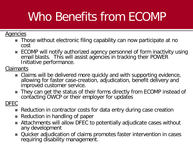### Who Benefits from ECOMP

### **Agencies**

- Those without electronic filing capability can now participate at no cost
- ECOMP will notify authorized agency personnel of form inactivity using email blasts. This will assist agencies in tracking their POWER Initiative performance.

Claimants

- Claims will be delivered more quickly and with supporting evidence, allowing for faster case-creation, adjudication, benefit delivery and improved customer service.
- They can get the status of their forms directly from ECOMP instead of contacting OWCP or their employer for updates

DFEC

- Reduction in contractor costs for data entry during case creation
- Reduction in handling of paper
- Attachments will allow DFEC to potentially adjudicate cases without any development
- Quicker adjudication of claims promotes faster intervention in cases requiring disability management.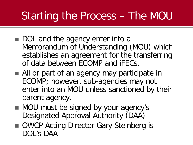### Starting the Process – The MOU

- DOL and the agency enter into a Memorandum of Understanding (MOU) which establishes an agreement for the transferring of data between ECOMP and iFECs.
- All or part of an agency may participate in ECOMP; however, sub-agencies may not enter into an MOU unless sanctioned by their parent agency.
- MOU must be signed by your agency's Designated Approval Authority (DAA)
- OWCP Acting Director Gary Steinberg is DOL's DAA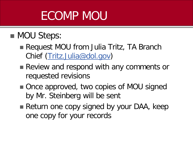## ECOMP MOU

### **MOU Steps:**

- Request MOU from Julia Tritz, TA Branch Chief ([Tritz.Julia@dol.gov](mailto:Tritz.Julia@dol.gov))
- Review and respond with any comments or requested revisions
- Once approved, two copies of MOU signed by Mr. Steinberg will be sent
- Return one copy signed by your DAA, keep one copy for your records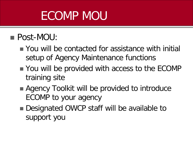## ECOMP MOU

### ■ Post-MOU:

- You will be contacted for assistance with initial setup of Agency Maintenance functions
- You will be provided with access to the ECOMP training site
- Agency Toolkit will be provided to introduce ECOMP to your agency
- Designated OWCP staff will be available to support you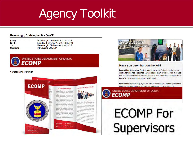# Agency Toolkit

### Revenaugh, Christopher M - OWCP

From: Sent: To: Subject: Revenaugh, Christopher M - OWCP Monday, February 20, 2012 8:35 PM Revenaugh, Christopher M - OWCP Introducing ECOMP



UNITED STATES DEPARTMENT OF LABOR **ECOMP** 

**Christopher Revenaugh** 





### Have you been hurt on the job?

Federal Employees and Contractors: If you are a Federal employee or a contractor who has sustained a work-related injury or illness, you may use this portal to report the incident or illness to your supervisor using OSHA's Form 301 (Injury and Illness Incident Report).

Federal Employees Only: If you are a Federal employee you may also file a claim for benefits under the Federal Employees' Compensation Act

### UNITED STATES DEPARTMENT OF LABOR **ECOMP**

# **ECOMP For Supervisors**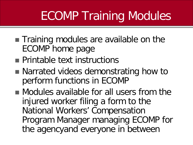## ECOMP Training Modules

- **Training modules are available on the** ECOMP home page
- **Printable text instructions**
- Narrated videos demonstrating how to perform functions in ECOMP
- Modules available for all users from the injured worker filing a form to the National Workers' Compensation Program Manager managing ECOMP for the agencyand everyone in between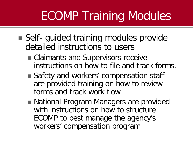# ECOMP Training Modules

- Self- guided training modules provide detailed instructions to users
	- Claimants and Supervisors receive instructions on how to file and track forms.
	- Safety and workers' compensation staff are provided training on how to review forms and track work flow
	- National Program Managers are provided with instructions on how to structure ECOMP to best manage the agency's workers' compensation program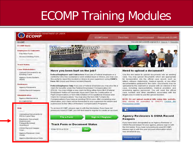### ECOMP Training Modules



### **Case Stakeholders**

- Upload Document to an **Existing Case**
- Agency Query System  $(AGS)$

### **Reviewers**

- **Agency Reviewers**
- OSHA Record Keepers

### **Administration**

**Agency Maintenance** ECOMP/DFEC

### Help

· Africa in

Uploading Documents to **FECA Case Files** 

**Electronic Document** Submission Frequently Asked Questions

OSHA Record Keeper User...

Agency Reviewer User Guide

Agency Maintenance Help



Federal Employees and Contractors: If you are a Federal employee or a contractor who has sustained a work-related injury or illness, you may use this portal to report the incident or illness to your supervisor using OSHA's Form 301 (Injury and Illness Incident Report).

Federal Employees Only: If you are a Federal employee you may also file a claim for benefits under the Federal Employees' Compensation Act (FECA). You may initiate a new claim by filing either form CA-1 (Federal Employee's Notice of Traumatic Injury and Claim for Continuation of Pay/Compensation) or form CA-2 (Notice of Occupational Disease and Claim for Compensation). You may also file form CA-7 (Claim for Compensation) if you have an existing FECA case. After completing your information, your claim will be forwarded to your supervisor for review and submission to the Office of Workers' Compensation Programs.

To access ECOMP, please sign in with the link below. If you have not previously used ECOMP, you will first need to register to create an account.



### **Need to upload a document?**

Use the link below to upload documents into an existing case. You may upload documents which are appropriate for incorporation into the official case record, such as letters, witness statements, medical reports, or any other documentation pertinent to the claim. Documents may be uploaded by the claimant or anyone with an interest in the case, including representatives, medical providers and employing agency personnel. You will need the official case number and other identifiers associated with the target case in order to use the upload function.

NOTE: Do not upload medical bills using this website. Bills should be submitted to OWCP's Central Bill **Processing Center** 

**Upload Document** 

### **Agency Reviewers & OSHA Record Keepers**

If you have been designated as an Agency Reviewer or OSHA Record keeper for your agency, please sign in with the link below. If you have not previously used ECOMP, please sign in with the user account information which was emailed to you.

Reviewer Sign In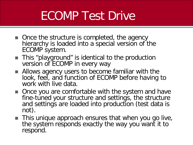### ECOMP Test Drive

- Once the structure is completed, the agency hierarchy is loaded into a special version of the ECOMP system.
- This "playground" is identical to the production version of ECOMP in every way
- Allows agency users to become familiar with the look, feel, and function of ECOMP before having to work with live data.
- Once you are comfortable with the system and have fine-tuned your structure and settings, the structure and settings are loaded into production (test data is not).
- **This unique approach ensures that when you go live,** the system responds exactly the way you want it to respond.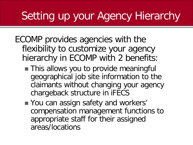### Setting up your Agency Hierarchy

- ECOMP provides agencies with the flexibility to customize your agency hierarchy in ECOMP with 2 benefits:
	- **This allows you to provide meaningful** geographical job site information to the claimants without changing your agency chargeback structure in iFECS
	- You can assign safety and workers' compensation management functions to appropriate staff for their assigned areas/locations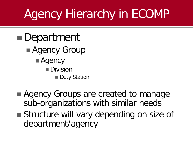## Agency Hierarchy in ECOMP

- ■Department **Agency Group Agency** ■Division **Duty Station**
- Agency Groups are created to manage sub-organizations with similar needs
- **Structure will vary depending on size of** department/agency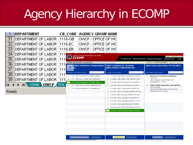## Agency Hierarchy in ECOMP

|       | DEPARTMENT                   |     |                                 | <b>CB CODE AGENCY GROUP NAM</b>                                                |                             |                                                                                                  |              |                                                                                          |
|-------|------------------------------|-----|---------------------------------|--------------------------------------------------------------------------------|-----------------------------|--------------------------------------------------------------------------------------------------|--------------|------------------------------------------------------------------------------------------|
| 31    | DEPARTMENT OF LABOR          |     | 1116-GB                         | OWCP - OFFICE OF WC                                                            |                             |                                                                                                  |              |                                                                                          |
| 32    | DEPARTMENT OF LABOR          |     | 1116-EC                         | OWCP - OFFICE OF WC                                                            |                             |                                                                                                  |              |                                                                                          |
| 33    | DEPARTMENT OF LABOR          |     | 1116-EB                         | OWCP - OFFICE OF WC                                                            |                             |                                                                                                  |              |                                                                                          |
| 34    | DEPARTMENT OF LABOR          | 111 |                                 | <b>UNITED STATES DEPARTMENT OF LABOR</b>                                       |                             |                                                                                                  |              | AGENCY MAINTENANCE USER                                                                  |
| 35    | DEPARTMENT OF LABOR          | 111 | G<br><b>ECOMP</b>               |                                                                                |                             | <b>ECOMP Home</b>                                                                                |              | Maintenance Home Manage Organizations<br>Manage Users<br>Help                            |
| 36    | DEPARTMENT OF LABOR          | 111 |                                 | ECOMP / Administration / Organizations<br>OWCP-Office of Workers' Compensation |                             | <b>OWCP-DIVISION OF FEDERAL</b>                                                                  |              | Signed in as Derek Tukenmez   Sign Out   Account<br><b>OWCP-DFEC-NATIONAL OFFICE-WCC</b> |
| 37    | DEPARTMENT OF LABOR          | 111 | Programs                        |                                                                                |                             | <b>EMPLOYEES' COMPENSATION</b>                                                                   |              |                                                                                          |
| 38    | DEPARTMENT OF LABOR          | 111 | 6 Agencies in this Agency-Group | Search                                                                         | 12 Divisions in this Agency | Search                                                                                           |              | 2 Duty Stations in this Division<br>Search                                               |
| 39    |                              |     | sle                             | 1110 - OWCP-DIVISION OF ENERGY EMPLO<br>1111 - OWCP-ALL OTHER, NOT OTHERWIS.   |                             | <b>4</b> 1116-AB - DFEC-BOSTON DISTRICT OFFICE<br><b>4 1116-BB - DFEC-NEW YORK DISTRICT OFFI</b> | $\checkmark$ | <b>Branch of Technical Assistance</b><br>Julia Tritz                                     |
|       | DEPARTMENT OF LABOR          | 111 |                                 | 1116 - OWCP-DIVISION OF FEDERAL EMPL                                           |                             | 1116-CB - DFEC-PHILA DIST. OFF-SUITE 78                                                          |              | 200 Constitution Ave NW Room 300<br>Washington, DC 20010                                 |
| н     | <b>MIY OSHA A OWEP A SOL</b> |     |                                 | 1117 - OWCP-DIV OF LSHW COMPENSATION                                           |                             | <b>A:</b> 1116-DB - DFEC-JACKSONVILLE DISTRICT                                                   |              | OWCP-DFEC-NATIONAL OFFICE-WCC                                                            |
|       |                              |     |                                 | 1118 - OWCP-DIVISION OF COAL MINE WO                                           |                             | 1116-EB - DFEC-CLEVELAND DISTRICT OF                                                             |              | CATHY NIXON<br>200 CONST AVENUE, NW, ROOM S-3524                                         |
| Ready |                              |     |                                 |                                                                                |                             | 1116-EC - DFEC-CHICAGO DISTRICT OFFICE                                                           |              | WASHINGTON, DC 20210                                                                     |
|       |                              |     |                                 |                                                                                |                             | 1116-FB - DFEC-DALLAS DISTRICT OFFICE                                                            |              |                                                                                          |
|       |                              |     |                                 |                                                                                |                             | 1116-GB - DFEC-KANSAS CITY DISTRICT O                                                            |              |                                                                                          |
|       |                              |     |                                 |                                                                                | չ                           | 1116-HB - DFEC-DENVER DISTRICT OFFICE<br>1116-JB - DFEC-SAN FRANCISCO DISTRIC                    |              |                                                                                          |
|       |                              |     |                                 |                                                                                | ele.                        | 1116-KB - DFEC-SEATTLE DISTRICT OFFICE                                                           |              |                                                                                          |
|       |                              |     |                                 |                                                                                |                             | 1116-NO - OWCP-DFEC-NATIONAL OFFICE-.                                                            |              |                                                                                          |
|       |                              |     |                                 |                                                                                |                             |                                                                                                  |              |                                                                                          |
|       |                              |     |                                 |                                                                                |                             |                                                                                                  |              |                                                                                          |
|       |                              |     |                                 |                                                                                |                             |                                                                                                  |              |                                                                                          |
|       |                              |     |                                 |                                                                                |                             |                                                                                                  |              |                                                                                          |
|       |                              |     |                                 |                                                                                |                             |                                                                                                  |              |                                                                                          |
|       |                              |     |                                 | Group Selected Agencies<br>Set Property                                        |                             | Set Property<br>Legend of Icons<br><b>JULI</b>                                                   |              | New Station<br>Delete Station<br><b>I</b> .                                              |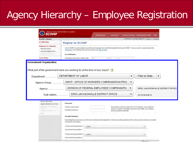### Agency Hierarchy – Employee Registration

| ECOMP / Register                                                                                     | You are not currently signed in   Sign in   Register                                                                                                                                                                       |  |  |  |  |  |  |  |
|------------------------------------------------------------------------------------------------------|----------------------------------------------------------------------------------------------------------------------------------------------------------------------------------------------------------------------------|--|--|--|--|--|--|--|
| <b>ECOMP Home</b>                                                                                    | <b>Register for ECOMP</b>                                                                                                                                                                                                  |  |  |  |  |  |  |  |
| <b>Employees &amp; Claimants</b><br>File New Form<br>Access Existing Form<br>inflamm Status in Oilly | Your ECOMP account enables you to file and manage forms with the Department of Labor OWCP. Your account is covered under the<br>Privacy Act, If you already have an account you can Sign In here.<br><b>Account Basics</b> |  |  |  |  |  |  |  |
| <b>Track Status</b>                                                                                  | Employee name (first, middle, last)<br>First<br>Aliciale<br>Last                                                                                                                                                           |  |  |  |  |  |  |  |
| <b>Government Organization</b>                                                                       | What part of the government were you working for at the time of your injury?                                                                                                                                               |  |  |  |  |  |  |  |
| Department                                                                                           | - Filter by State -<br>DEPARTMENT OF LABOR<br>$\blacktriangledown$<br>▼                                                                                                                                                    |  |  |  |  |  |  |  |
| Agency-Group                                                                                         | OWCP - OFFICE OF WORKERS' COMPENSATION PROC<br>▼                                                                                                                                                                           |  |  |  |  |  |  |  |
|                                                                                                      | DIVISION OF FEDERAL EMPLOYEES' COMPENSATIO<br>DFEC-JACKSONVILLE DISTRICT OFFICE                                                                                                                                            |  |  |  |  |  |  |  |
|                                                                                                      |                                                                                                                                                                                                                            |  |  |  |  |  |  |  |
| Duty station                                                                                         | DFEC-JACKSONVILLE DISTRICT OFFICE<br>JAC KSONVILLE, FL                                                                                                                                                                     |  |  |  |  |  |  |  |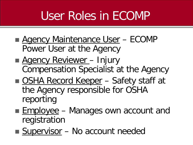## User Roles in ECOMP

- **Agency Maintenance User ECOMP** Power User at the Agency
- **Agency Reviewer Injury** Compensation Specialist at the Agency
- OSHA Record Keeper Safety staff at the Agency responsible for OSHA reporting
- **Employee** Manages own account and registration
- Supervisor No account needed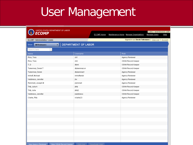### User Management

| ECOMP / Administration / Users               |                     | Signed in as Derek Tukenmez   Sign Out   Account |  |  |  |
|----------------------------------------------|---------------------|--------------------------------------------------|--|--|--|
| <b>All Reviewers</b><br>Show<br>$\mathbf{v}$ | DEPARTMENT OF LABOR |                                                  |  |  |  |
| Search Users                                 |                     |                                                  |  |  |  |
| Name.                                        | Username            | Role:                                            |  |  |  |
| Rios, Tony                                   | ctr1                | Agency Reviewer                                  |  |  |  |
| Rios, Tony                                   | ctr2                | OSHA Record Keeper                               |  |  |  |
| T, D                                         | dtork               | OSHA Record Keeper                               |  |  |  |
| Tukenmez, Derek T                            | dtukenmez-or        | OSHA Record Keeper                               |  |  |  |
| Tukenmez, Derek                              | dtukenmez1          | Agency Reviewer                                  |  |  |  |
| Imhoff, Michael                              | imhoffardol         | Agency Reviewer                                  |  |  |  |
| Valdivieso, Jennifer                         | jhv                 | Agency Reviewer                                  |  |  |  |
| Remmell, Joseph M                            | jremmell            | Agency Reviewer                                  |  |  |  |
| Tritz, Julia A                               | jtritz              | OSHA Record Keeper                               |  |  |  |
| Tritz, Julia                                 | jtritz2             | OSHA Record Keeper                               |  |  |  |
| Valdivieso, Jennifer                         | jvaldivieso         | OSHA Record Keeper                               |  |  |  |
| Clarke, Rita                                 | rclarke23           | Agency Reviewer                                  |  |  |  |
|                                              |                     |                                                  |  |  |  |
|                                              |                     |                                                  |  |  |  |
|                                              |                     |                                                  |  |  |  |
|                                              |                     |                                                  |  |  |  |
|                                              |                     |                                                  |  |  |  |
|                                              |                     |                                                  |  |  |  |
|                                              |                     |                                                  |  |  |  |
|                                              |                     |                                                  |  |  |  |
|                                              |                     |                                                  |  |  |  |
|                                              |                     |                                                  |  |  |  |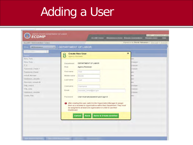### Adding a User

| AX Emanuel 6                                    | DEPARTMENT OF LABOR       |                                                                                                                                                                                                                    |                                          |
|-------------------------------------------------|---------------------------|--------------------------------------------------------------------------------------------------------------------------------------------------------------------------------------------------------------------|------------------------------------------|
| <b>Light</b><br>Rios, Tany                      | <b>Agency Reviewer</b>    | <b>Create New User</b>                                                                                                                                                                                             | $\boldsymbol{\mathsf{x}}$<br>m           |
| Foo's, Tony<br>T, D.<br>Tokinnyille, Donnik T.  | Department<br>Role        | DEPARTMENT OF LABOR<br><b>Agency Reviewer</b>                                                                                                                                                                      | Keeper<br><b>JOHNWY</b><br><b>NUMBER</b> |
| <b>Tukinnyillz, Disnik</b><br>Imlant, Michael   | First name<br>Middle name | First<br>Middle                                                                                                                                                                                                    | m<br>m                                   |
| Valdiylayo, Jenistler<br>Platyrous), Jonatin M. | Last name                 | Last                                                                                                                                                                                                               | ver<br>ra i                              |
| TIRE JUNEA<br>THE JUNE                          | Username<br>Email         | Usemame<br>example_email@dol.gov                                                                                                                                                                                   | <b>STORENT</b><br><b>IOD</b> #1994       |
| Valdiviews, Jennifer<br>Clarkill, Filte         | Password                  | User must set password upon sign in                                                                                                                                                                                | <b>KONFERT</b><br>m                      |
|                                                 | Dashboard.                | After creating this user, switch to the Organization Manager to assign<br>them as a reviewer to organizations within their Department. They must<br>be assigned to at least one organization in order to use their |                                          |
|                                                 |                           | <b>Save &amp; Create Another</b><br><b>Save</b><br>Cancel                                                                                                                                                          |                                          |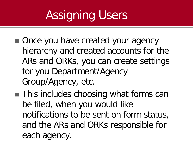# Assigning Users

- Once you have created your agency hierarchy and created accounts for the ARs and ORKs, you can create settings for you Department/Agency Group/Agency, etc.
- **This includes choosing what forms can** be filed, when you would like notifications to be sent on form status, and the ARs and ORKs responsible for each agency.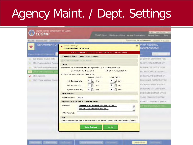## Agency Maint. / Dept. Settings

| <b>DEPARTMENT OF</b><br>$\star$<br>Administration in first Organization<br><b>BLG- Bureau of Labor Hists</b><br>ETA - Employment and Tranving<br>Forms<br>OSEC - Office of the lierrelay<br>The Company of Personal View | <b>Department Settings</b><br><b>DEPARTMENT OF LABOR</b><br>Organization Name DEPARTMENT OF LABOR<br>V ECONF is anabled for this Department<br>Which forms can be submitted within this organization? (CA-6 is always available) | This organization is set up, but one or more sub-organizations are not.                       | $\mathbf{x}$                                 | <b>IN OF FEDERAL</b><br>COMPENSATION<br>m |
|--------------------------------------------------------------------------------------------------------------------------------------------------------------------------------------------------------------------------|----------------------------------------------------------------------------------------------------------------------------------------------------------------------------------------------------------------------------------|-----------------------------------------------------------------------------------------------|----------------------------------------------|-------------------------------------------|
|                                                                                                                                                                                                                          |                                                                                                                                                                                                                                  |                                                                                               |                                              |                                           |
|                                                                                                                                                                                                                          |                                                                                                                                                                                                                                  |                                                                                               |                                              | C-BOSTON DISTRICT OFFICE                  |
|                                                                                                                                                                                                                          |                                                                                                                                                                                                                                  |                                                                                               |                                              |                                           |
|                                                                                                                                                                                                                          |                                                                                                                                                                                                                                  |                                                                                               |                                              |                                           |
|                                                                                                                                                                                                                          |                                                                                                                                                                                                                                  |                                                                                               |                                              | EC-NEWVIDAK DISTRICT (IFF)                |
|                                                                                                                                                                                                                          |                                                                                                                                                                                                                                  |                                                                                               |                                              | EC-PHILADIST OFF-TIUTE TE.                |
|                                                                                                                                                                                                                          | $\sqrt{$ OSHA301, CA-1, and CA-2                                                                                                                                                                                                 |                                                                                               | $\sqrt{CA-7}$ , CA-7a, and CA-7b             | EC-JACKSONAILLE DISTRICT                  |
| Other Agencies                                                                                                                                                                                                           | For forms in process, send email notice when                                                                                                                                                                                     | OSHA301, CA-1 & 2                                                                             | CA-7, 7a & 7b                                | EC-CLEVELAND DISTRICT OF                  |
| WHEI - Wage and Holly Elmslork                                                                                                                                                                                           | 5<br>with Supervisor after                                                                                                                                                                                                       | $\ddot{\ddot{\cdot}}$<br>$\overline{a}$<br>days                                               | $ \div $<br>days                             | EC-CHICAGO DISTRICT (IFFICE               |
|                                                                                                                                                                                                                          | 5<br>with Reviewer after                                                                                                                                                                                                         | $\div$<br>$\overline{a}$<br>days                                                              | $\frac{1}{\sqrt{2}}$<br>days                 | EO DALLAS DISTRICT DIFFICE                |
|                                                                                                                                                                                                                          | $\boldsymbol{8}$<br>age overall since filing                                                                                                                                                                                     | $\div$<br>3<br>days                                                                           | $\div$<br>days.                              | EC VANSAS CITY DISTRICT O                 |
|                                                                                                                                                                                                                          | <b>Email Domains</b>                                                                                                                                                                                                             |                                                                                               |                                              | EC-DEMVER DISTRICT OFFICE                 |
|                                                                                                                                                                                                                          | <b>Allowed Domains</b><br>dol.gov                                                                                                                                                                                                |                                                                                               |                                              | EC-SAN FRANCISCO DISTRIC.                 |
|                                                                                                                                                                                                                          | <b>Reviewers &amp; Recipients of Form Notifications</b>                                                                                                                                                                          |                                                                                               |                                              | <b>EC-BEATTLE DISTRICT OFFICE</b>         |
|                                                                                                                                                                                                                          | <b>Reviewers</b>                                                                                                                                                                                                                 | Tukenmez, Derek - tukenmez.derek@dol.gov (OSHA),<br>Rios, Tony - rios.antonio@dol.gov (FECA), | $\blacktriangle$<br>$\overline{\phantom{a}}$ | <b>HEATCHATTOWN OFFICE-</b>               |
|                                                                                                                                                                                                                          | <b>Other Recipients</b>                                                                                                                                                                                                          |                                                                                               |                                              |                                           |
| Help                                                                                                                                                                                                                     |                                                                                                                                                                                                                                  |                                                                                               |                                              |                                           |
|                                                                                                                                                                                                                          | Each organization must have at least one domain, one Agency Reviewer, and one OSHA Record Keeper.                                                                                                                                |                                                                                               |                                              |                                           |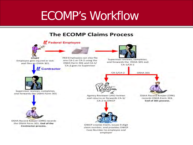### ECOMP's Workflow

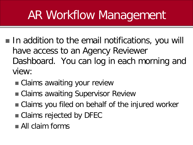### AR Workflow Management

- In addition to the email notifications, you will have access to an Agency Reviewer Dashboard. You can log in each morning and view:
	- Claims awaiting your review
	- Claims awaiting Supervisor Review
	- Claims you filed on behalf of the injured worker
	- Claims rejected by DFEC
	- **All claim forms**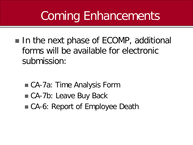### Coming Enhancements

In the next phase of ECOMP, additional forms will be available for electronic submission:

- CA-7a: Time Analysis Form
- CA-7b: Leave Buy Back
- CA-6: Report of Employee Death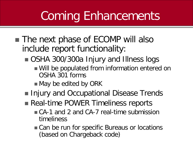## Coming Enhancements

- The next phase of ECOMP will also include report functionality:
	- OSHA 300/300a Injury and Illness logs
		- Will be populated from information entered on OSHA 301 forms
		- May be edited by ORK
	- Injury and Occupational Disease Trends
	- Real-time POWER Timeliness reports
		- CA-1 and 2 and CA-7 real-time submission timeliness
		- Can be run for specific Bureaus or locations (based on Chargeback code)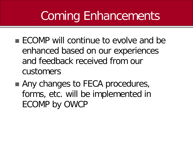### Coming Enhancements

- **ECOMP** will continue to evolve and be enhanced based on our experiences and feedback received from our customers
- Any changes to FECA procedures, forms, etc. will be implemented in ECOMP by OWCP